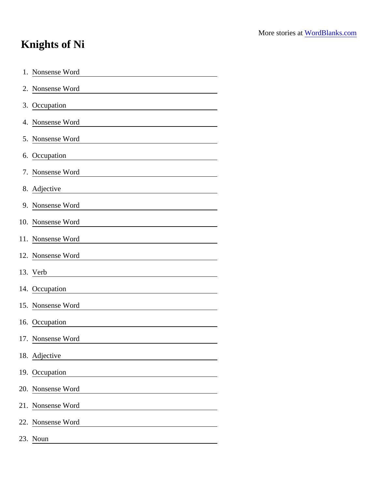## Knights of Ni

| 1. | Nonsense Word                                                                                                                              |
|----|--------------------------------------------------------------------------------------------------------------------------------------------|
|    | 2. Nonsense Word                                                                                                                           |
|    | 3. Occupation                                                                                                                              |
|    | 4. Nonsense Word                                                                                                                           |
|    | 5. Nonsense Word                                                                                                                           |
|    | 6. Occupation                                                                                                                              |
|    | 7. Nonsense Word                                                                                                                           |
|    | 8. Adjective                                                                                                                               |
|    | 9. Nonsense Word                                                                                                                           |
|    | 10. Nonsense Word<br><u> 1980 - Andrea Albert III, poet et al. et al. et al. et al. et al. et al. et al. et al. et al. et al. et al. e</u> |
|    | 11. Nonsense Word                                                                                                                          |
|    | 12. Nonsense Word                                                                                                                          |
|    | 13. Verb                                                                                                                                   |
|    | 14. Occupation                                                                                                                             |
|    | 15. Nonsense Word                                                                                                                          |
|    | 16. Occupation                                                                                                                             |
|    | 17. Nonsense Word                                                                                                                          |
|    | 18. Adjective                                                                                                                              |
|    | 19. Occupation                                                                                                                             |
|    | 20. Nonsense Word                                                                                                                          |
|    | 21. Nonsense Word                                                                                                                          |
|    | 22. Nonsense Word                                                                                                                          |
|    | 23. Noun                                                                                                                                   |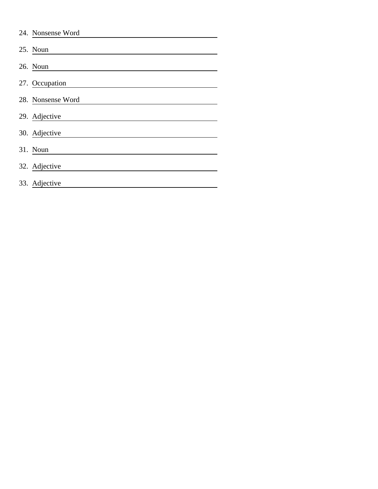| 24. Nonsense Word |
|-------------------|
| 25. Noun          |
| 26. Noun          |
| 27. Occupation    |
| 28. Nonsense Word |
| 29. Adjective     |
| 30. Adjective     |
| 31. Noun          |
| 32. Adjective     |
| 33. Adjective     |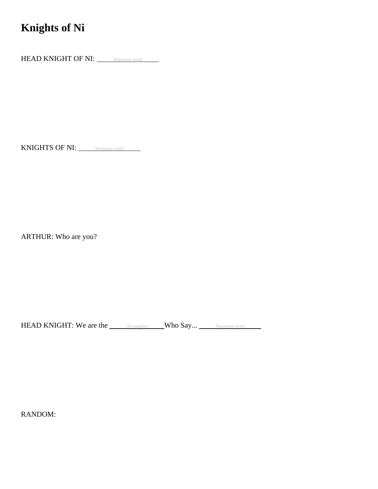## **Knights of Ni**

HEAD KNIGHT OF NI: Nonsense word

KNIGHTS OF NI: Nonsense word

ARTHUR: Who are you?

HEAD KNIGHT: We are the <u>Cocupation</u> Who Say... Nonsense word

RANDOM: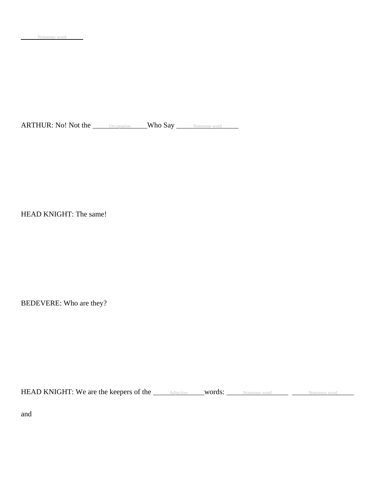ARTHUR: No! Not the <u>Occupation</u> Who Say Nonsense word

HEAD KNIGHT: The same!

BEDEVERE: Who are they?

HEAD KNIGHT: We are the keepers of the *Adjective* words: Nonsense word Monsense word Nonsense word

and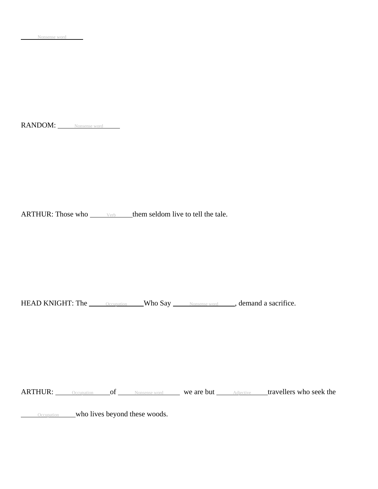RANDOM: Nonsense word

ARTHUR: Those who  $\frac{\vee}{\vee}$  verb them seldom live to tell the tale.

HEAD KNIGHT: The <u>Occupation</u> Who Say Nonsense word , demand a sacrifice.

ARTHUR: <u>Occupation</u> of Nonsense word we are but Adjective travellers who seek the

**Occupation** who lives beyond these woods.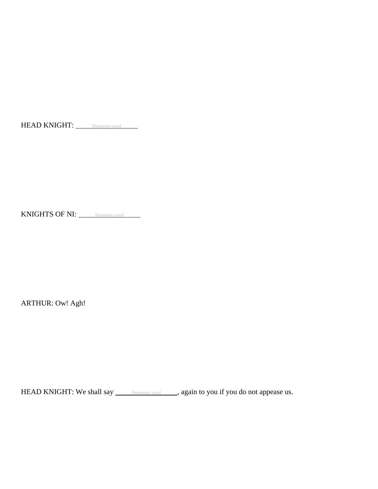HEAD KNIGHT: Nonsense word

KNIGHTS OF NI: Nonsense word

ARTHUR: Ow! Agh!

HEAD KNIGHT: We shall say <u>Nonsense word</u> , again to you if you do not appease us.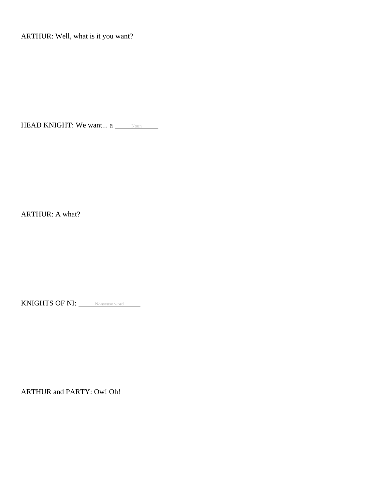ARTHUR: Well, what is it you want?

HEAD KNIGHT: We want...  $a \_\_\_\_\$ 

ARTHUR: A what?

KNIGHTS OF NI: Nonsense word

ARTHUR and PARTY: Ow! Oh!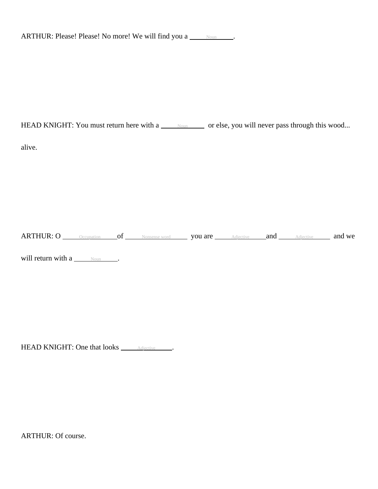| ARTHUR: Please! Please! No more! We will find you a |  |
|-----------------------------------------------------|--|
|-----------------------------------------------------|--|

HEAD KNIGHT: You must return here with a <u>Noun case</u> or else, you will never pass through this wood...

alive.

ARTHUR: O occupation of Nonsense word you are Adjective and Adjective and We

will return with  $a \_\_\_\_\$ 

HEAD KNIGHT: One that looks **Adjective** ...

ARTHUR: Of course.